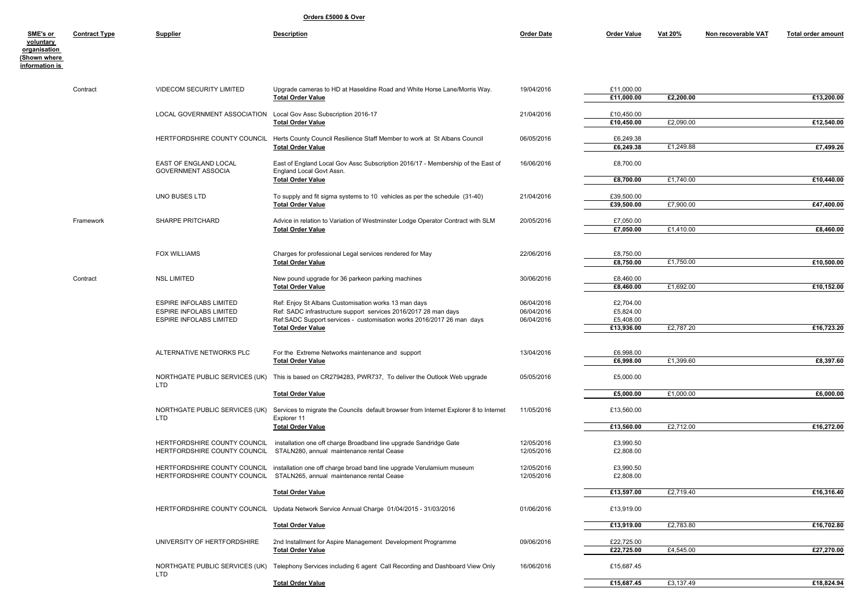**Orders £5000 & Over**

| SME's or<br>voluntary<br><u>organisation</u><br><b>Shown where</b><br><u>information is</u> | <b>Contract Type</b> | <b>Supplier</b>                                                                                    | <b>Description</b>                                                                                                                                                                               | <b>Order Date</b>                      | <b>Order Value</b>                  | <u>Vat 20%</u> | Non recoverable VAT | <b>Total order amount</b> |
|---------------------------------------------------------------------------------------------|----------------------|----------------------------------------------------------------------------------------------------|--------------------------------------------------------------------------------------------------------------------------------------------------------------------------------------------------|----------------------------------------|-------------------------------------|----------------|---------------------|---------------------------|
|                                                                                             | Contract             | <b>VIDECOM SECURITY LIMITED</b>                                                                    | Upgrade cameras to HD at Haseldine Road and White Horse Lane/Morris Way.<br><b>Total Order Value</b>                                                                                             | 19/04/2016                             | £11,000.00<br>£11,000.00            | £2,200.00      |                     | £13,200.00                |
|                                                                                             |                      | LOCAL GOVERNMENT ASSOCIATION                                                                       | Local Gov Assc Subscription 2016-17<br><b>Total Order Value</b>                                                                                                                                  | 21/04/2016                             | £10,450.00<br>£10,450.00            | £2,090.00      |                     | £12,540.00                |
|                                                                                             |                      | HERTFORDSHIRE COUNTY COUNCIL                                                                       | Herts County Council Resilience Staff Member to work at St Albans Council<br><b>Total Order Value</b>                                                                                            | 06/05/2016                             | £6,249.38<br>£6,249.38              | £1,249.88      |                     | £7,499.26                 |
|                                                                                             |                      | EAST OF ENGLAND LOCAL<br><b>GOVERNMENT ASSOCIA</b>                                                 | East of England Local Gov Assc Subscription 2016/17 - Membership of the East of<br>England Local Govt Assn.                                                                                      | 16/06/2016                             | £8,700.00                           |                |                     |                           |
|                                                                                             |                      |                                                                                                    | <b>Total Order Value</b>                                                                                                                                                                         |                                        | £8,700.00                           | £1,740.00      |                     | £10,440.00                |
|                                                                                             |                      | UNO BUSES LTD                                                                                      | To supply and fit sigma systems to 10 vehicles as per the schedule (31-40)<br><b>Total Order Value</b>                                                                                           | 21/04/2016                             | £39,500.00<br>£39,500.00            | £7,900.00      |                     | £47,400.00                |
|                                                                                             | Framework            | SHARPE PRITCHARD                                                                                   | Advice in relation to Variation of Westminster Lodge Operator Contract with SLM<br><b>Total Order Value</b>                                                                                      | 20/05/2016                             | £7,050.00<br>£7,050.00              | £1,410.00      |                     | £8,460.00                 |
|                                                                                             |                      |                                                                                                    |                                                                                                                                                                                                  |                                        |                                     |                |                     |                           |
|                                                                                             |                      | <b>FOX WILLIAMS</b>                                                                                | Charges for professional Legal services rendered for May<br><b>Total Order Value</b>                                                                                                             | 22/06/2016                             | £8,750.00<br>£8,750.00              | £1,750.00      |                     | £10,500.00                |
|                                                                                             | Contract             | <b>NSL LIMITED</b>                                                                                 | New pound upgrade for 36 parkeon parking machines                                                                                                                                                | 30/06/2016                             | £8,460.00                           |                |                     |                           |
|                                                                                             |                      |                                                                                                    | <b>Total Order Value</b>                                                                                                                                                                         |                                        | £8,460.00                           | £1,692.00      |                     | £10,152.00                |
|                                                                                             |                      | <b>ESPIRE INFOLABS LIMITED</b><br><b>ESPIRE INFOLABS LIMITED</b><br><b>ESPIRE INFOLABS LIMITED</b> | Ref: Enjoy St Albans Customisation works 13 man days<br>Ref: SADC infrastructure support services 2016/2017 28 man days<br>Ref:SADC Support services - customisation works 2016/2017 26 man days | 06/04/2016<br>06/04/2016<br>06/04/2016 | £2,704.00<br>£5,824.00<br>£5,408.00 |                |                     |                           |
|                                                                                             |                      |                                                                                                    | <b>Total Order Value</b>                                                                                                                                                                         |                                        | £13,936.00                          | £2,787.20      |                     | £16,723.20                |
|                                                                                             |                      | ALTERNATIVE NETWORKS PLC                                                                           | For the Extreme Networks maintenance and support<br><b>Total Order Value</b>                                                                                                                     | 13/04/2016                             | £6,998.00<br>£6,998.00              | £1,399.60      |                     | £8,397.60                 |
|                                                                                             |                      | LTD                                                                                                | NORTHGATE PUBLIC SERVICES (UK) This is based on CR2794283, PWR737, To deliver the Outlook Web upgrade                                                                                            | 05/05/2016                             | £5,000.00                           |                |                     |                           |
|                                                                                             |                      |                                                                                                    | <b>Total Order Value</b>                                                                                                                                                                         |                                        | £5,000.00                           | £1,000.00      |                     | £6,000.00                 |
|                                                                                             |                      | NORTHGATE PUBLIC SERVICES (UK)<br>LTD                                                              | Services to migrate the Councils default browser from Internet Explorer 8 to Internet<br>Explorer 11                                                                                             | 11/05/2016                             | £13,560.00                          |                |                     |                           |
|                                                                                             |                      |                                                                                                    | <b>Total Order Value</b>                                                                                                                                                                         |                                        | £13,560.00                          | £2,712.00      |                     | £16,272.00                |
|                                                                                             |                      |                                                                                                    | HERTFORDSHIRE COUNTY COUNCIL installation one off charge Broadband line upgrade Sandridge Gate<br>HERTFORDSHIRE COUNTY COUNCIL STALN280, annual maintenance rental Cease                         | 12/05/2016<br>12/05/2016               | £3,990.50<br>£2,808.00              |                |                     |                           |
|                                                                                             |                      |                                                                                                    | HERTFORDSHIRE COUNTY COUNCIL installation one off charge broad band line upgrade Verulamium museum<br>HERTFORDSHIRE COUNTY COUNCIL STALN265, annual maintenance rental Cease                     | 12/05/2016<br>12/05/2016               | £3,990.50<br>£2,808.00              |                |                     |                           |
|                                                                                             |                      |                                                                                                    | <b>Total Order Value</b>                                                                                                                                                                         |                                        | £13,597.00                          | £2,719.40      |                     | £16,316.40                |
|                                                                                             |                      | HERTFORDSHIRE COUNTY COUNCIL                                                                       | Updata Network Service Annual Charge 01/04/2015 - 31/03/2016                                                                                                                                     | 01/06/2016                             | £13,919.00                          |                |                     |                           |
|                                                                                             |                      |                                                                                                    | <b>Total Order Value</b>                                                                                                                                                                         |                                        | £13,919.00                          | £2,783.80      |                     | £16,702.80                |
|                                                                                             |                      | UNIVERSITY OF HERTFORDSHIRE                                                                        | 2nd Installment for Aspire Management Development Programme                                                                                                                                      | 09/06/2016                             | £22,725.00                          |                |                     |                           |
|                                                                                             |                      |                                                                                                    | <b>Total Order Value</b>                                                                                                                                                                         |                                        | £22,725.00                          | £4,545.00      |                     | £27,270.00                |
|                                                                                             |                      | LTD                                                                                                | NORTHGATE PUBLIC SERVICES (UK) Telephony Services including 6 agent Call Recording and Dashboard View Only                                                                                       | 16/06/2016                             | £15,687.45                          |                |                     |                           |
|                                                                                             |                      |                                                                                                    | <b>Total Order Value</b>                                                                                                                                                                         |                                        | £15,687.45                          | £3,137.49      |                     | £18,824.94                |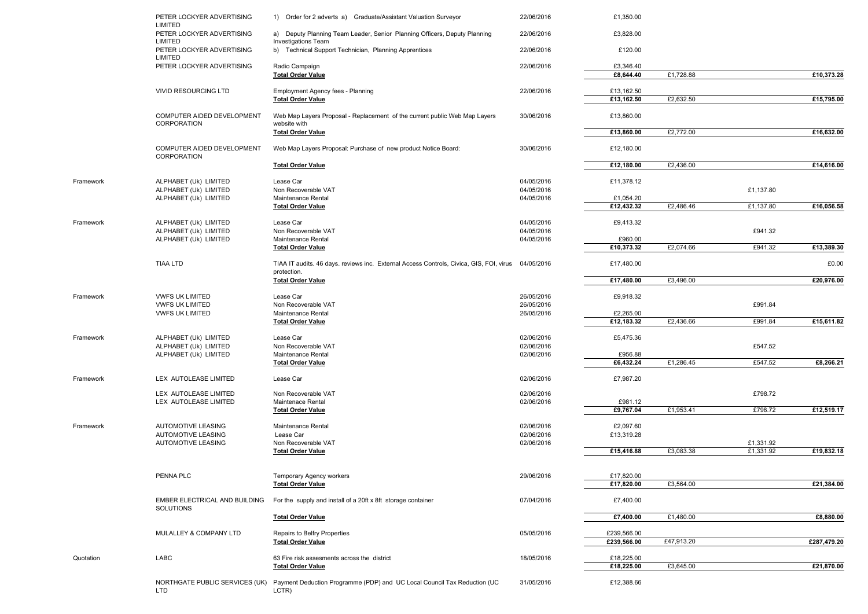|           | PETER LOCKYER ADVERTISING<br><b>LIMITED</b>            | 1) Order for 2 adverts a) Graduate/Assistant Valuation Surveyor                                                   | 22/06/2016               | £1,350.00   |            |                        |             |
|-----------|--------------------------------------------------------|-------------------------------------------------------------------------------------------------------------------|--------------------------|-------------|------------|------------------------|-------------|
|           | PETER LOCKYER ADVERTISING<br><b>LIMITED</b>            | a) Deputy Planning Team Leader, Senior Planning Officers, Deputy Planning<br><b>Investigations Team</b>           | 22/06/2016               | £3,828.00   |            |                        |             |
|           | PETER LOCKYER ADVERTISING<br>LIMITED                   | b) Technical Support Technician, Planning Apprentices                                                             | 22/06/2016               | £120.00     |            |                        |             |
|           | PETER LOCKYER ADVERTISING                              | Radio Campaign                                                                                                    | 22/06/2016               | £3,346.40   |            |                        |             |
|           |                                                        | <b>Total Order Value</b>                                                                                          |                          | £8,644.40   | £1,728.88  |                        | £10,373.28  |
|           | VIVID RESOURCING LTD                                   | <b>Employment Agency fees - Planning</b>                                                                          | 22/06/2016               | £13,162.50  |            |                        |             |
|           |                                                        | <b>Total Order Value</b>                                                                                          |                          | £13,162.50  | £2,632.50  |                        | £15,795.00  |
|           | COMPUTER AIDED DEVELOPMENT<br>CORPORATION              | Web Map Layers Proposal - Replacement of the current public Web Map Layers<br>website with                        | 30/06/2016               | £13,860.00  |            |                        |             |
|           |                                                        | <b>Total Order Value</b>                                                                                          |                          | £13,860.00  | £2,772.00  |                        | £16,632.00  |
|           | COMPUTER AIDED DEVELOPMENT<br>CORPORATION              | Web Map Layers Proposal: Purchase of new product Notice Board:                                                    | 30/06/2016               | £12,180.00  |            |                        |             |
|           |                                                        | <b>Total Order Value</b>                                                                                          |                          | £12,180.00  | £2,436.00  |                        | £14,616.00  |
| Framework | ALPHABET (Uk) LIMITED                                  | Lease Car                                                                                                         | 04/05/2016               | £11,378.12  |            |                        |             |
|           | ALPHABET (Uk) LIMITED                                  | Non Recoverable VAT                                                                                               | 04/05/2016               |             |            | £1,137.80              |             |
|           | ALPHABET (Uk) LIMITED                                  | Maintenance Rental                                                                                                | 04/05/2016               | £1,054.20   |            |                        |             |
|           |                                                        | <b>Total Order Value</b>                                                                                          |                          | £12,432.32  | £2,486.46  | £1,137.80              | £16,056.58  |
| Framework | ALPHABET (Uk) LIMITED                                  | Lease Car                                                                                                         | 04/05/2016               | £9,413.32   |            |                        |             |
|           | ALPHABET (Uk) LIMITED                                  | Non Recoverable VAT                                                                                               | 04/05/2016               |             |            | £941.32                |             |
|           | ALPHABET (Uk) LIMITED                                  | Maintenance Rental                                                                                                | 04/05/2016               | £960.00     |            |                        |             |
|           |                                                        | <b>Total Order Value</b>                                                                                          |                          | £10,373.32  | £2,074.66  | £941.32                | £13,389.30  |
|           | <b>TIAA LTD</b>                                        | TIAA IT audits. 46 days. reviews inc. External Access Controls, Civica, GIS, FOI, virus 04/05/2016<br>protection. |                          | £17,480.00  |            |                        | £0.00       |
|           |                                                        | <b>Total Order Value</b>                                                                                          |                          | £17,480.00  | £3,496.00  |                        | £20,976.00  |
|           |                                                        |                                                                                                                   |                          |             |            |                        |             |
| Framework | <b>VWFS UK LIMITED</b><br><b>VWFS UK LIMITED</b>       | Lease Car<br>Non Recoverable VAT                                                                                  | 26/05/2016<br>26/05/2016 | £9,918.32   |            | £991.84                |             |
|           | <b>VWFS UK LIMITED</b>                                 | Maintenance Rental                                                                                                | 26/05/2016               | £2,265.00   |            |                        |             |
|           |                                                        | <b>Total Order Value</b>                                                                                          |                          | £12,183.32  | £2,436.66  | £991.84                | £15,611.82  |
| Framework | ALPHABET (Uk) LIMITED                                  | Lease Car                                                                                                         | 02/06/2016               | £5,475.36   |            |                        |             |
|           | ALPHABET (Uk) LIMITED                                  | Non Recoverable VAT                                                                                               | 02/06/2016               |             |            | £547.52                |             |
|           | ALPHABET (Uk) LIMITED                                  | Maintenance Rental                                                                                                | 02/06/2016               | £956.88     |            |                        |             |
|           |                                                        | <b>Total Order Value</b>                                                                                          |                          | £6,432.24   | £1,286.45  | £547.52                | £8,266.21   |
| Framework | LEX AUTOLEASE LIMITED                                  | Lease Car                                                                                                         | 02/06/2016               | £7,987.20   |            |                        |             |
|           | LEX AUTOLEASE LIMITED                                  | Non Recoverable VAT                                                                                               | 02/06/2016               |             |            | £798.72                |             |
|           | LEX AUTOLEASE LIMITED                                  | Maintenace Rental                                                                                                 | 02/06/2016               | £981.12     |            |                        |             |
|           |                                                        | <b>Total Order Value</b>                                                                                          |                          | £9,767.04   | £1,953.41  | £798.72                | £12,519.17  |
|           |                                                        |                                                                                                                   |                          |             |            |                        |             |
| Framework | <b>AUTOMOTIVE LEASING</b>                              | Maintenance Rental                                                                                                | 02/06/2016               | £2,097.60   |            |                        |             |
|           | <b>AUTOMOTIVE LEASING</b><br><b>AUTOMOTIVE LEASING</b> | Lease Car<br>Non Recoverable VAT                                                                                  | 02/06/2016<br>02/06/2016 | £13,319.28  |            |                        |             |
|           |                                                        | <b>Total Order Value</b>                                                                                          |                          | £15,416.88  | £3,083.38  | £1,331.92<br>£1,331.92 | £19,832.18  |
|           |                                                        |                                                                                                                   |                          |             |            |                        |             |
|           | PENNA PLC                                              |                                                                                                                   |                          | £17,820.00  |            |                        |             |
|           |                                                        | Temporary Agency workers<br><b>Total Order Value</b>                                                              | 29/06/2016               | £17,820.00  | £3,564.00  |                        | £21,384.00  |
|           |                                                        |                                                                                                                   |                          |             |            |                        |             |
|           | EMBER ELECTRICAL AND BUILDING<br>SOLUTIONS             | For the supply and install of a 20ft x 8ft storage container                                                      | 07/04/2016               | £7,400.00   |            |                        |             |
|           |                                                        | <b>Total Order Value</b>                                                                                          |                          | £7,400.00   | £1,480.00  |                        | £8,880.00   |
|           | MULALLEY & COMPANY LTD                                 | Repairs to Belfry Properties                                                                                      | 05/05/2016               | £239,566.00 |            |                        |             |
|           |                                                        | <b>Total Order Value</b>                                                                                          |                          | £239,566.00 | £47,913.20 |                        | £287,479.20 |
|           |                                                        |                                                                                                                   |                          |             |            |                        |             |
| Quotation | LABC                                                   | 63 Fire risk assesments across the district                                                                       | 18/05/2016               | £18,225.00  |            |                        |             |
|           |                                                        | <b>Total Order Value</b>                                                                                          |                          | £18,225.00  | £3,645.00  |                        | £21,870.00  |
|           | NORTHGATE PUBLIC SERVICES (UK)<br>LTD                  | Payment Deduction Programme (PDP) and UC Local Council Tax Reduction (UC<br>LCTR)                                 | 31/05/2016               | £12,388.66  |            |                        |             |
|           |                                                        |                                                                                                                   |                          |             |            |                        |             |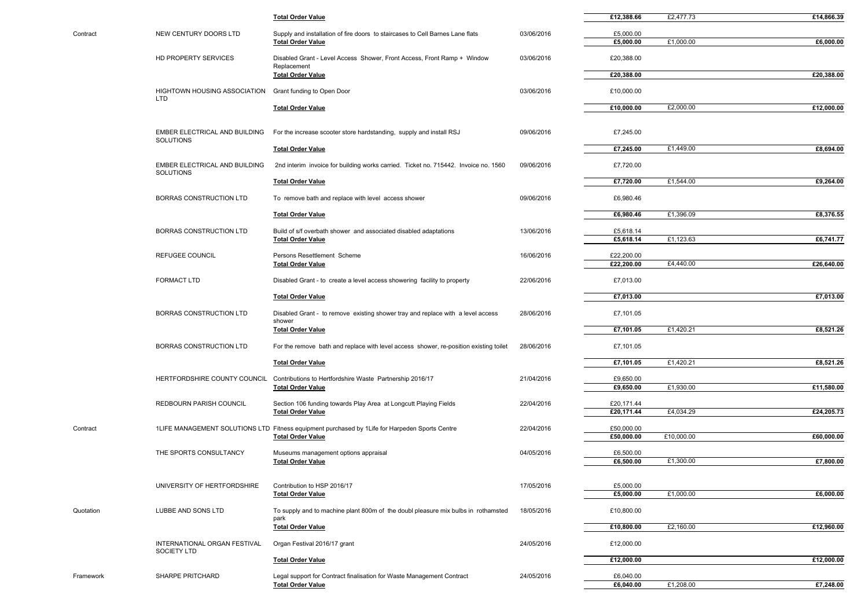|           |                                                   | <b>Total Order Value</b>                                                                                                   |            | £12,388.66               | £2,477.73  | £14,866.39 |
|-----------|---------------------------------------------------|----------------------------------------------------------------------------------------------------------------------------|------------|--------------------------|------------|------------|
| Contract  | NEW CENTURY DOORS LTD                             | Supply and installation of fire doors to staircases to Cell Barnes Lane flats                                              | 03/06/2016 | £5,000.00                |            |            |
|           |                                                   | <b>Total Order Value</b>                                                                                                   |            | £5,000.00                | £1,000.00  | £6,000.00  |
|           | HD PROPERTY SERVICES                              | Disabled Grant - Level Access Shower, Front Access, Front Ramp + Window<br>Replacement                                     | 03/06/2016 | £20,388.00               |            |            |
|           |                                                   | <b>Total Order Value</b>                                                                                                   |            | £20,388.00               |            | £20,388.00 |
|           | <b>HIGHTOWN HOUSING ASSOCIATION</b><br><b>LTD</b> | Grant funding to Open Door                                                                                                 | 03/06/2016 | £10,000.00               |            |            |
|           |                                                   | <b>Total Order Value</b>                                                                                                   |            | £10,000.00               | £2,000.00  | £12,000.00 |
|           | EMBER ELECTRICAL AND BUILDING<br>SOLUTIONS        | For the increase scooter store hardstanding, supply and install RSJ                                                        | 09/06/2016 | £7,245.00                |            |            |
|           |                                                   | <b>Total Order Value</b>                                                                                                   |            | £7,245.00                | £1,449.00  | £8,694.00  |
|           | EMBER ELECTRICAL AND BUILDING                     | 2nd interim invoice for building works carried. Ticket no. 715442. Invoice no. 1560                                        | 09/06/2016 | £7,720.00                |            |            |
|           | SOLUTIONS                                         | <b>Total Order Value</b>                                                                                                   |            | £7,720.00                | £1,544.00  | £9,264.00  |
|           | BORRAS CONSTRUCTION LTD                           | To remove bath and replace with level access shower                                                                        | 09/06/2016 | £6,980.46                |            |            |
|           |                                                   | <b>Total Order Value</b>                                                                                                   |            | £6,980.46                | £1,396.09  | £8,376.55  |
|           | <b>BORRAS CONSTRUCTION LTD</b>                    | Build of s/f overbath shower and associated disabled adaptations                                                           | 13/06/2016 | £5,618.14                |            |            |
|           |                                                   | <b>Total Order Value</b>                                                                                                   |            | £5,618.14                | £1,123.63  | £6,741.77  |
|           | REFUGEE COUNCIL                                   | Persons Resettlement Scheme                                                                                                | 16/06/2016 | £22,200.00               |            |            |
|           |                                                   | <b>Total Order Value</b>                                                                                                   |            | £22,200.00               | £4,440.00  | £26,640.00 |
|           | <b>FORMACT LTD</b>                                | Disabled Grant - to create a level access showering facility to property                                                   | 22/06/2016 | £7,013.00                |            |            |
|           |                                                   | <b>Total Order Value</b>                                                                                                   |            | £7,013.00                |            | £7,013.00  |
|           | <b>BORRAS CONSTRUCTION LTD</b>                    | Disabled Grant - to remove existing shower tray and replace with a level access<br>shower                                  | 28/06/2016 | £7,101.05                |            |            |
|           |                                                   | <b>Total Order Value</b>                                                                                                   |            | £7,101.05                | £1,420.21  | £8,521.26  |
|           | <b>BORRAS CONSTRUCTION LTD</b>                    | For the remove bath and replace with level access shower, re-position existing toilet                                      | 28/06/2016 | £7,101.05                |            |            |
|           |                                                   | <b>Total Order Value</b>                                                                                                   |            | £7,101.05                | £1,420.21  | £8,521.26  |
|           | HERTFORDSHIRE COUNTY COUNCIL                      | Contributions to Hertfordshire Waste Partnership 2016/17                                                                   | 21/04/2016 | £9,650.00                |            |            |
|           |                                                   | <b>Total Order Value</b>                                                                                                   |            | £9,650.00                | £1,930.00  | £11,580.00 |
|           | REDBOURN PARISH COUNCIL                           | Section 106 funding towards Play Area at Longcutt Playing Fields                                                           | 22/04/2016 | £20,171.44               |            |            |
|           |                                                   | <b>Total Order Value</b>                                                                                                   |            | £20,171.44               | £4,034.29  | £24,205.73 |
| Contract  |                                                   | 1LIFE MANAGEMENT SOLUTIONS LTD Fitness equipment purchased by 1Life for Harpeden Sports Centre<br><b>Total Order Value</b> | 22/04/2016 | £50,000.00<br>£50,000.00 | £10,000.00 | £60,000.00 |
|           |                                                   |                                                                                                                            |            |                          |            |            |
|           | THE SPORTS CONSULTANCY                            | Museums management options appraisal<br><b>Total Order Value</b>                                                           | 04/05/2016 | £6,500.00<br>£6,500.00   | £1,300.00  | £7,800.00  |
|           |                                                   |                                                                                                                            |            |                          |            |            |
|           | UNIVERSITY OF HERTFORDSHIRE                       | Contribution to HSP 2016/17                                                                                                | 17/05/2016 | £5,000.00                |            |            |
|           |                                                   | <b>Total Order Value</b>                                                                                                   |            | £5,000.00                | £1,000.00  | £6,000.00  |
| Quotation | LUBBE AND SONS LTD                                | To supply and to machine plant 800m of the doubl pleasure mix bulbs in rothamsted<br>park                                  | 18/05/2016 | £10,800.00               |            |            |
|           |                                                   | <b>Total Order Value</b>                                                                                                   |            | £10,800.00               | £2,160.00  | £12,960.00 |
|           | INTERNATIONAL ORGAN FESTIVAL<br>SOCIETY LTD       | Organ Festival 2016/17 grant                                                                                               | 24/05/2016 | £12,000.00               |            |            |
|           |                                                   | <b>Total Order Value</b>                                                                                                   |            | £12,000.00               |            | £12,000.00 |
| Framework | SHARPE PRITCHARD                                  | Legal support for Contract finalisation for Waste Management Contract                                                      | 24/05/2016 | £6,040.00                |            |            |
|           |                                                   | <b>Total Order Value</b>                                                                                                   |            | £6,040.00                | £1,208.00  | £7,248.00  |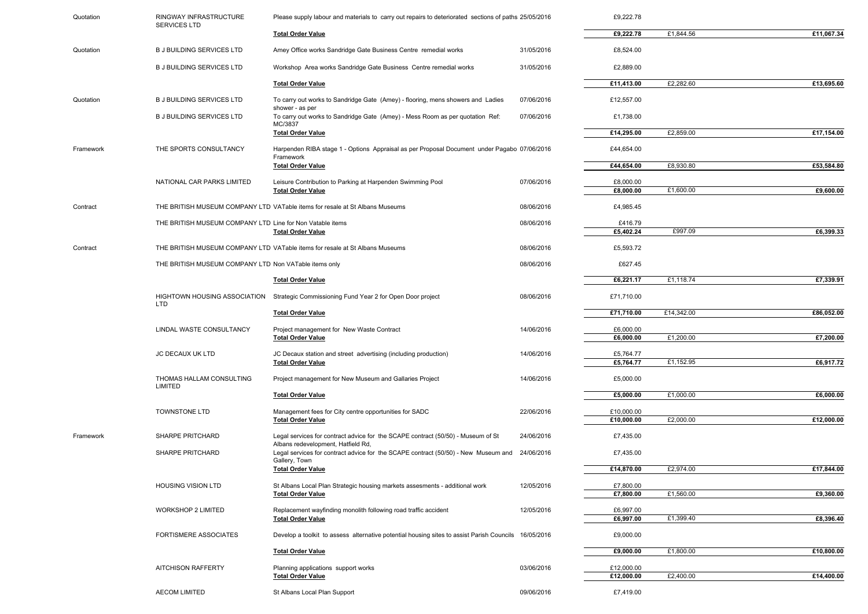| Quotation | RINGWAY INFRASTRUCTURE<br>SERVICES LTD                    | Please supply labour and materials to carry out repairs to deteriorated sections of paths 25/05/2016                   |            | £9,222.78                |            |            |
|-----------|-----------------------------------------------------------|------------------------------------------------------------------------------------------------------------------------|------------|--------------------------|------------|------------|
|           |                                                           | <b>Total Order Value</b>                                                                                               |            | £9,222.78                | £1,844.56  | £11,067.34 |
| Quotation | <b>B J BUILDING SERVICES LTD</b>                          | Amey Office works Sandridge Gate Business Centre remedial works                                                        | 31/05/2016 | £8,524.00                |            |            |
|           | <b>B J BUILDING SERVICES LTD</b>                          | Workshop Area works Sandridge Gate Business Centre remedial works                                                      | 31/05/2016 | £2,889.00                |            |            |
|           |                                                           | <b>Total Order Value</b>                                                                                               |            | £11,413.00               | £2,282.60  | £13,695.60 |
| Quotation | <b>B J BUILDING SERVICES LTD</b>                          | To carry out works to Sandridge Gate (Amey) - flooring, mens showers and Ladies<br>shower - as per                     | 07/06/2016 | £12,557.00               |            |            |
|           | <b>B J BUILDING SERVICES LTD</b>                          | To carry out works to Sandridge Gate (Amey) - Mess Room as per quotation Ref:                                          | 07/06/2016 | £1,738.00                |            |            |
|           |                                                           | MC/3837<br><b>Total Order Value</b>                                                                                    |            | £14,295.00               | £2,859.00  | £17,154.00 |
| Framework | THE SPORTS CONSULTANCY                                    | Harpenden RIBA stage 1 - Options Appraisal as per Proposal Document under Pagabo 07/06/2016<br>Framework               |            | £44,654.00               |            |            |
|           |                                                           | <b>Total Order Value</b>                                                                                               |            | £44,654.00               | £8,930.80  | £53,584.80 |
|           | NATIONAL CAR PARKS LIMITED                                | Leisure Contribution to Parking at Harpenden Swimming Pool<br><b>Total Order Value</b>                                 | 07/06/2016 | £8,000.00<br>£8,000.00   | £1,600.00  | £9,600.00  |
| Contract  |                                                           | THE BRITISH MUSEUM COMPANY LTD VATable items for resale at St Albans Museums                                           | 08/06/2016 | £4,985.45                |            |            |
|           | THE BRITISH MUSEUM COMPANY LTD Line for Non Vatable items |                                                                                                                        | 08/06/2016 | £416.79                  |            |            |
|           |                                                           | <b>Total Order Value</b>                                                                                               |            | £5,402.24                | £997.09    | £6,399.33  |
| Contract  |                                                           | THE BRITISH MUSEUM COMPANY LTD VATable items for resale at St Albans Museums                                           | 08/06/2016 | £5,593.72                |            |            |
|           | THE BRITISH MUSEUM COMPANY LTD Non VATable items only     |                                                                                                                        | 08/06/2016 | £627.45                  |            |            |
|           |                                                           | <b>Total Order Value</b>                                                                                               |            | £6,221.17                | £1,118.74  | £7,339.91  |
|           | HIGHTOWN HOUSING ASSOCIATION<br><b>LTD</b>                | Strategic Commissioning Fund Year 2 for Open Door project                                                              | 08/06/2016 | £71,710.00               |            |            |
|           |                                                           | <b>Total Order Value</b>                                                                                               |            | £71,710.00               | £14,342.00 | £86,052.00 |
|           | LINDAL WASTE CONSULTANCY                                  | Project management for New Waste Contract                                                                              | 14/06/2016 | £6,000.00                | £1.200.00  |            |
|           |                                                           | <b>Total Order Value</b>                                                                                               |            | £6,000.00                |            | £7,200.00  |
|           | JC DECAUX UK LTD                                          | JC Decaux station and street advertising (including production)<br><b>Total Order Value</b>                            | 14/06/2016 | £5,764.77<br>£5,764.77   | £1,152.95  | £6,917.72  |
|           | THOMAS HALLAM CONSULTING<br>LIMITED                       | Project management for New Museum and Gallaries Project                                                                | 14/06/2016 | £5,000.00                |            |            |
|           |                                                           | <b>Total Order Value</b>                                                                                               |            | £5,000.00                | £1,000.00  | £6,000.00  |
|           | TOWNSTONE LTD                                             | Management fees for City centre opportunities for SADC                                                                 | 22/06/2016 | £10,000.00               |            |            |
|           |                                                           | <b>Total Order Value</b>                                                                                               |            | £10,000.00               | £2,000.00  | £12,000.00 |
| Framework | SHARPE PRITCHARD                                          | Legal services for contract advice for the SCAPE contract (50/50) - Museum of St<br>Albans redevelopment, Hatfield Rd, | 24/06/2016 | £7,435.00                |            |            |
|           | SHARPE PRITCHARD                                          | Legal services for contract advice for the SCAPE contract (50/50) - New Museum and<br>Gallery, Town                    | 24/06/2016 | £7,435.00                |            |            |
|           |                                                           | <b>Total Order Value</b>                                                                                               |            | £14,870.00               | £2,974.00  | £17,844.00 |
|           | <b>HOUSING VISION LTD</b>                                 | St Albans Local Plan Strategic housing markets assesments - additional work                                            | 12/05/2016 | £7,800.00                |            |            |
|           |                                                           | <b>Total Order Value</b>                                                                                               |            | £7,800.00                | £1,560.00  | £9,360.00  |
|           | <b>WORKSHOP 2 LIMITED</b>                                 | Replacement wayfinding monolith following road traffic accident<br><b>Total Order Value</b>                            | 12/05/2016 | £6,997.00<br>£6,997.00   | £1,399.40  | £8,396.40  |
|           |                                                           |                                                                                                                        |            |                          |            |            |
|           | <b>FORTISMERE ASSOCIATES</b>                              | Develop a toolkit to assess alternative potential housing sites to assist Parish Councils                              | 16/05/2016 | £9,000.00                |            |            |
|           |                                                           | <b>Total Order Value</b>                                                                                               |            | £9,000.00                | £1,800.00  | £10,800.00 |
|           | <b>AITCHISON RAFFERTY</b>                                 | Planning applications support works                                                                                    | 03/06/2016 | £12,000.00<br>£12,000.00 | £2,400.00  | £14,400.00 |
|           |                                                           | <b>Total Order Value</b>                                                                                               |            |                          |            |            |
|           | <b>AECOM LIMITED</b>                                      | St Albans Local Plan Support                                                                                           | 09/06/2016 | £7,419.00                |            |            |